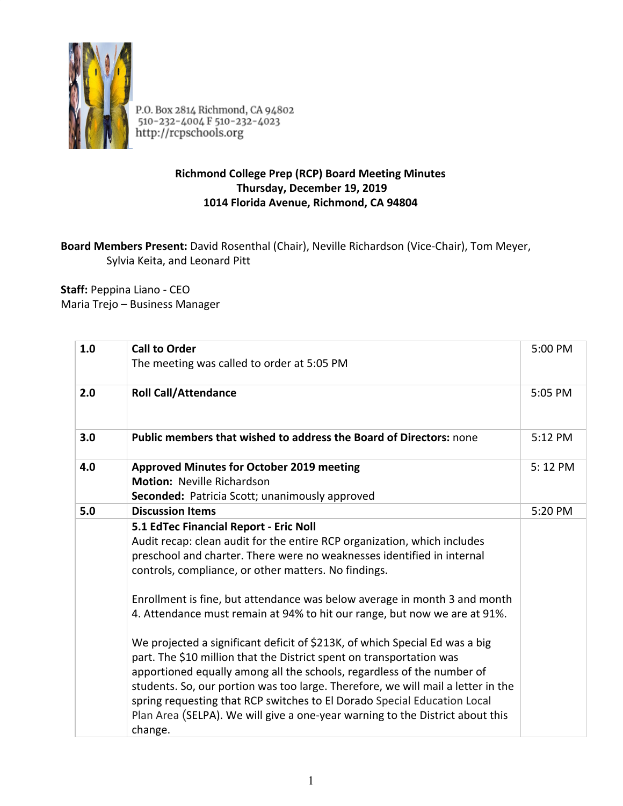

P.O. Box 2814 Richmond, CA 94802<br>510-232-4004 F 510-232-4023<br>http://rcpschools.org

## **Richmond College Prep (RCP) Board Meeting Minutes Thursday, December 19, 2019 1014 Florida Avenue, Richmond, CA 94804**

## **Board Members Present:** David Rosenthal (Chair), Neville Richardson (Vice-Chair), Tom Meyer, Sylvia Keita, and Leonard Pitt

**Staff:** Peppina Liano - CEO Maria Trejo – Business Manager

| 1.0 | <b>Call to Order</b><br>The meeting was called to order at 5:05 PM                                                                                                                                                                                                                                                                                                                                                                                                                                                                                                                                                                                                                                                                                                                                                                                                                                          | 5:00 PM |
|-----|-------------------------------------------------------------------------------------------------------------------------------------------------------------------------------------------------------------------------------------------------------------------------------------------------------------------------------------------------------------------------------------------------------------------------------------------------------------------------------------------------------------------------------------------------------------------------------------------------------------------------------------------------------------------------------------------------------------------------------------------------------------------------------------------------------------------------------------------------------------------------------------------------------------|---------|
| 2.0 | <b>Roll Call/Attendance</b>                                                                                                                                                                                                                                                                                                                                                                                                                                                                                                                                                                                                                                                                                                                                                                                                                                                                                 | 5:05 PM |
| 3.0 | <b>Public members that wished to address the Board of Directors: none</b>                                                                                                                                                                                                                                                                                                                                                                                                                                                                                                                                                                                                                                                                                                                                                                                                                                   | 5:12 PM |
| 4.0 | <b>Approved Minutes for October 2019 meeting</b><br><b>Motion: Neville Richardson</b><br><b>Seconded:</b> Patricia Scott; unanimously approved                                                                                                                                                                                                                                                                                                                                                                                                                                                                                                                                                                                                                                                                                                                                                              | 5:12 PM |
| 5.0 | <b>Discussion Items</b>                                                                                                                                                                                                                                                                                                                                                                                                                                                                                                                                                                                                                                                                                                                                                                                                                                                                                     | 5:20 PM |
|     | 5.1 EdTec Financial Report - Eric Noll<br>Audit recap: clean audit for the entire RCP organization, which includes<br>preschool and charter. There were no weaknesses identified in internal<br>controls, compliance, or other matters. No findings.<br>Enrollment is fine, but attendance was below average in month 3 and month<br>4. Attendance must remain at 94% to hit our range, but now we are at 91%.<br>We projected a significant deficit of \$213K, of which Special Ed was a big<br>part. The \$10 million that the District spent on transportation was<br>apportioned equally among all the schools, regardless of the number of<br>students. So, our portion was too large. Therefore, we will mail a letter in the<br>spring requesting that RCP switches to El Dorado Special Education Local<br>Plan Area (SELPA). We will give a one-year warning to the District about this<br>change. |         |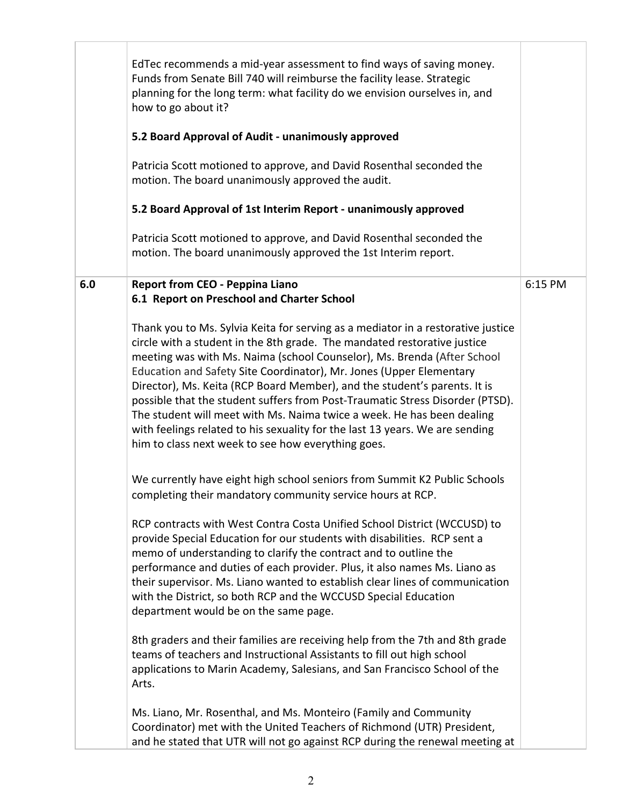|     | EdTec recommends a mid-year assessment to find ways of saving money.<br>Funds from Senate Bill 740 will reimburse the facility lease. Strategic<br>planning for the long term: what facility do we envision ourselves in, and<br>how to go about it?<br>5.2 Board Approval of Audit - unanimously approved<br>Patricia Scott motioned to approve, and David Rosenthal seconded the<br>motion. The board unanimously approved the audit.<br>5.2 Board Approval of 1st Interim Report - unanimously approved                                                                                                                                                                                   |         |
|-----|----------------------------------------------------------------------------------------------------------------------------------------------------------------------------------------------------------------------------------------------------------------------------------------------------------------------------------------------------------------------------------------------------------------------------------------------------------------------------------------------------------------------------------------------------------------------------------------------------------------------------------------------------------------------------------------------|---------|
|     | Patricia Scott motioned to approve, and David Rosenthal seconded the<br>motion. The board unanimously approved the 1st Interim report.                                                                                                                                                                                                                                                                                                                                                                                                                                                                                                                                                       |         |
| 6.0 | <b>Report from CEO - Peppina Liano</b><br>6.1 Report on Preschool and Charter School                                                                                                                                                                                                                                                                                                                                                                                                                                                                                                                                                                                                         | 6:15 PM |
|     | Thank you to Ms. Sylvia Keita for serving as a mediator in a restorative justice<br>circle with a student in the 8th grade. The mandated restorative justice<br>meeting was with Ms. Naima (school Counselor), Ms. Brenda (After School<br>Education and Safety Site Coordinator), Mr. Jones (Upper Elementary<br>Director), Ms. Keita (RCP Board Member), and the student's parents. It is<br>possible that the student suffers from Post-Traumatic Stress Disorder (PTSD).<br>The student will meet with Ms. Naima twice a week. He has been dealing<br>with feelings related to his sexuality for the last 13 years. We are sending<br>him to class next week to see how everything goes. |         |
|     | We currently have eight high school seniors from Summit K2 Public Schools<br>completing their mandatory community service hours at RCP.                                                                                                                                                                                                                                                                                                                                                                                                                                                                                                                                                      |         |
|     | RCP contracts with West Contra Costa Unified School District (WCCUSD) to<br>provide Special Education for our students with disabilities. RCP sent a<br>memo of understanding to clarify the contract and to outline the<br>performance and duties of each provider. Plus, it also names Ms. Liano as<br>their supervisor. Ms. Liano wanted to establish clear lines of communication<br>with the District, so both RCP and the WCCUSD Special Education<br>department would be on the same page.                                                                                                                                                                                            |         |
|     | 8th graders and their families are receiving help from the 7th and 8th grade<br>teams of teachers and Instructional Assistants to fill out high school<br>applications to Marin Academy, Salesians, and San Francisco School of the<br>Arts.                                                                                                                                                                                                                                                                                                                                                                                                                                                 |         |
|     | Ms. Liano, Mr. Rosenthal, and Ms. Monteiro (Family and Community<br>Coordinator) met with the United Teachers of Richmond (UTR) President,<br>and he stated that UTR will not go against RCP during the renewal meeting at                                                                                                                                                                                                                                                                                                                                                                                                                                                                   |         |